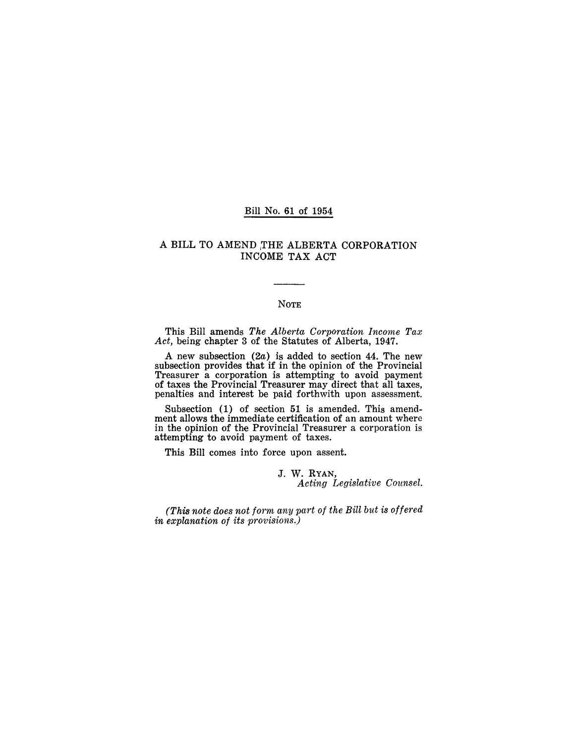#### Bill No. 61 of 1954

#### A BILL TO AMEND THE ALBERTA CORPORATION INCOME TAX ACT

#### NOTE

This Bill amends *The Alberta Corporation Inc01ne Tax Act,* being chapter 3 of the Statutes of Alberta, 1947.

A new subsection  $(2a)$  is added to section 44. The new subsection provides that if in the opinion of the Provincial Treasurer a corporation is attempting to avoid payment of taxes the Provincial Treasurer may direct that all taxes, penalties and interest be paid forthwith upon assessment.

Subsection (1) of section 51 is amended. This amendment allows the immediate certification of an amount where in the opinion of the Provincial Treasurer a corporation is attempting to avoid payment of taxes.

This Bill comes into force upon assent.

J. W. RYAN, *Acting Legislative Counsel.* 

*(This note does not form any part of the Bill but is offered in explanation of its provisions.)*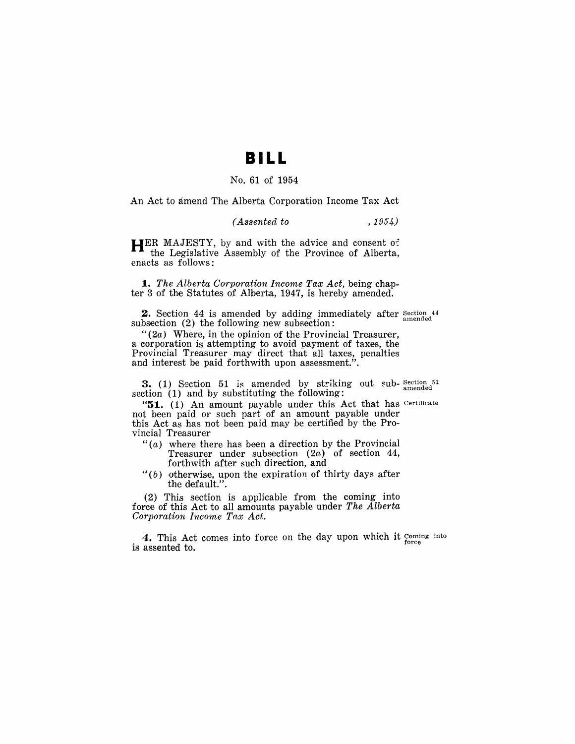## **BILL**

#### No. 61 of 1954

An Act to amend The Alberta Corporation Income Tax Act

#### *(Assented to* , 1954)

HER MAJESTY, by and with the advice and consent of the Legislative Assembly of the Province of Alberta, enacts as follows:

*1. The Alberta Corporation Income Tax Act,* being chapter 3 of the Statutes of Alberta, 1947, is hereby amended.

2. Section 44 is amended by adding immediately after Section 44 subsection  $(2)$  the following new subsection:

" $(2a)$  Where, in the opinion of the Provincial Treasurer, a corporation is attempting to avoid payment of taxes, the Provincial Treasurer may direct that all taxes, penalties and interest be paid forthwith upon assessment.".

3. (1) Section 51 is amended by striking out sub- $\frac{\text{Section 51}}{\text{amended}}$ section  $(1)$  and by substituting the following:

"51. (1) An amount payable under this Act that has Certificate not been paid or such part of an amount payable under this Act as has not been paid may be certified by the Provincial Treasurer

- " $(a)$  where there has been a direction by the Provincial Treasurer under subsection (2a) of section 44, forthwith after such direction, and
- $H(b)$  otherwise, upon the expiration of thirty days after the default.".

(2) This section is applicable from the coming into force of this Act to all amounts payable under *The Alberta Corporation Income Tax Act.* 

4. This Act comes into force on the day upon which it  $\frac{\text{Coming into}}{\text{force}}$ is assented to.